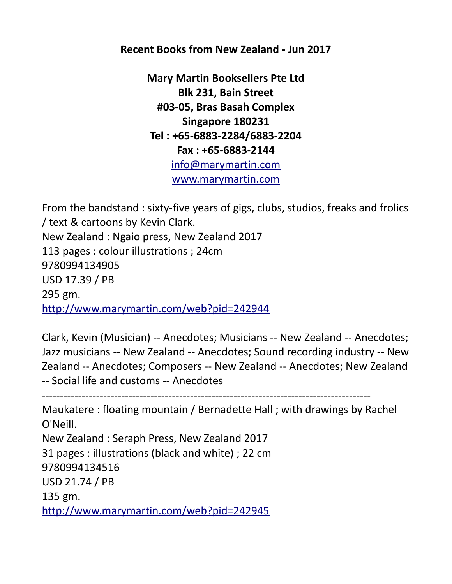**Recent Books from New Zealand - Jun 2017**

**Mary Martin Booksellers Pte Ltd Blk 231, Bain Street #03-05, Bras Basah Complex Singapore 180231 Tel : +65-6883-2284/6883-2204 Fax : +65-6883-2144** [info@marymartin.com](mailto:info@marymartin.com) [www.marymartin.com](http://www.marymartin.com/)

From the bandstand : sixty-five years of gigs, clubs, studios, freaks and frolics / text & cartoons by Kevin Clark. New Zealand : Ngaio press, New Zealand 2017 113 pages : colour illustrations ; 24cm 9780994134905 USD 17.39 / PB 295 gm. <http://www.marymartin.com/web?pid=242944>

Clark, Kevin (Musician) -- Anecdotes; Musicians -- New Zealand -- Anecdotes; Jazz musicians -- New Zealand -- Anecdotes; Sound recording industry -- New Zealand -- Anecdotes; Composers -- New Zealand -- Anecdotes; New Zealand -- Social life and customs -- Anecdotes

-------------------------------------------------------------------------------------------

Maukatere : floating mountain / Bernadette Hall ; with drawings by Rachel O'Neill. New Zealand : Seraph Press, New Zealand 2017 31 pages : illustrations (black and white) ; 22 cm 9780994134516 USD 21.74 / PB 135 gm. <http://www.marymartin.com/web?pid=242945>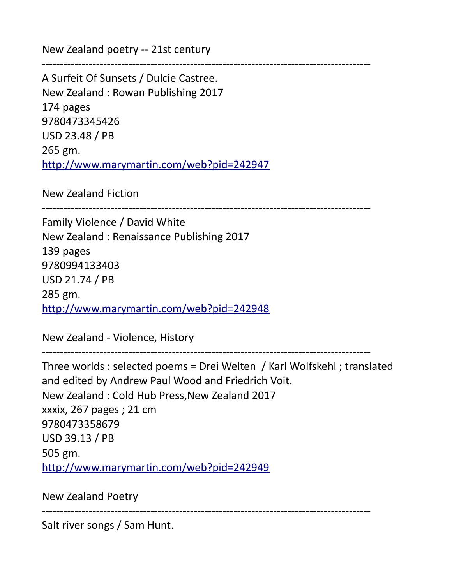New Zealand poetry -- 21st century

A Surfeit Of Sunsets / Dulcie Castree. New Zealand : Rowan Publishing 2017 174 pages 9780473345426 USD 23.48 / PB 265 gm. <http://www.marymartin.com/web?pid=242947>

New Zealand Fiction

-------------------------------------------------------------------------------------------

-------------------------------------------------------------------------------------------

Family Violence / David White New Zealand : Renaissance Publishing 2017 139 pages 9780994133403 USD 21.74 / PB 285 gm. <http://www.marymartin.com/web?pid=242948>

New Zealand - Violence, History

------------------------------------------------------------------------------------------- Three worlds : selected poems = Drei Welten / Karl Wolfskehl ; translated and edited by Andrew Paul Wood and Friedrich Voit. New Zealand : Cold Hub Press,New Zealand 2017 xxxix, 267 pages ; 21 cm 9780473358679 USD 39.13 / PB 505 gm. <http://www.marymartin.com/web?pid=242949>

New Zealand Poetry

-------------------------------------------------------------------------------------------

Salt river songs / Sam Hunt.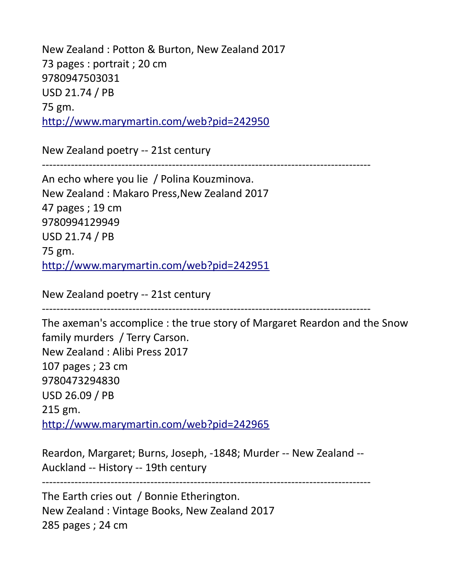New Zealand : Potton & Burton, New Zealand 2017 73 pages : portrait ; 20 cm 9780947503031 USD 21.74 / PB 75 gm. <http://www.marymartin.com/web?pid=242950>

New Zealand poetry -- 21st century

-------------------------------------------------------------------------------------------

An echo where you lie / Polina Kouzminova. New Zealand : Makaro Press,New Zealand 2017 47 pages ; 19 cm 9780994129949 USD 21.74 / PB 75 gm. <http://www.marymartin.com/web?pid=242951>

New Zealand poetry -- 21st century

-------------------------------------------------------------------------------------------

The axeman's accomplice : the true story of Margaret Reardon and the Snow family murders / Terry Carson. New Zealand : Alibi Press 2017 107 pages ; 23 cm 9780473294830 USD 26.09 / PB 215 gm. <http://www.marymartin.com/web?pid=242965>

Reardon, Margaret; Burns, Joseph, -1848; Murder -- New Zealand -- Auckland -- History -- 19th century

The Earth cries out / Bonnie Etherington. New Zealand : Vintage Books, New Zealand 2017 285 pages ; 24 cm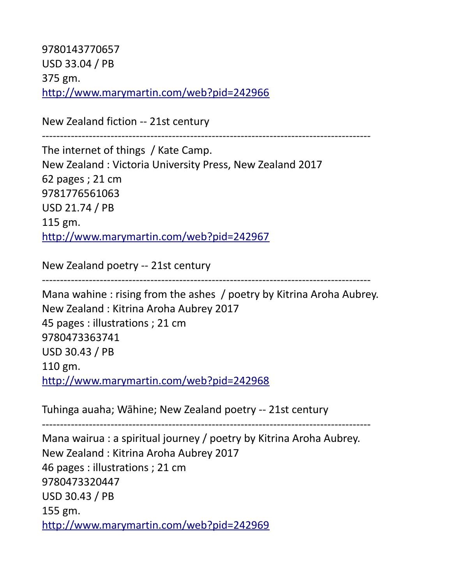9780143770657 USD 33.04 / PB 375 gm. <http://www.marymartin.com/web?pid=242966>

New Zealand fiction -- 21st century

-------------------------------------------------------------------------------------------

The internet of things / Kate Camp. New Zealand : Victoria University Press, New Zealand 2017 62 pages ; 21 cm 9781776561063 USD 21.74 / PB 115 gm. <http://www.marymartin.com/web?pid=242967>

New Zealand poetry -- 21st century

-------------------------------------------------------------------------------------------

Mana wahine : rising from the ashes / poetry by Kitrina Aroha Aubrey. New Zealand : Kitrina Aroha Aubrey 2017 45 pages : illustrations ; 21 cm 9780473363741 USD 30.43 / PB 110 gm. <http://www.marymartin.com/web?pid=242968>

Tuhinga auaha; Wāhine; New Zealand poetry -- 21st century

------------------------------------------------------------------------------------------- Mana wairua : a spiritual journey / poetry by Kitrina Aroha Aubrey. New Zealand : Kitrina Aroha Aubrey 2017 46 pages : illustrations ; 21 cm 9780473320447 USD 30.43 / PB 155 gm. <http://www.marymartin.com/web?pid=242969>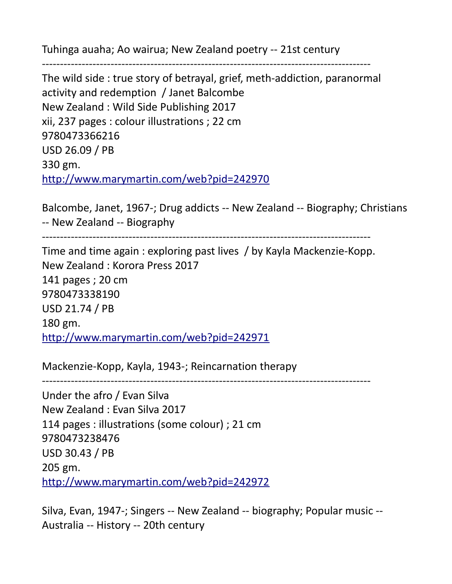Tuhinga auaha; Ao wairua; New Zealand poetry -- 21st century

-------------------------------------------------------------------------------------------

The wild side : true story of betrayal, grief, meth-addiction, paranormal activity and redemption / Janet Balcombe New Zealand : Wild Side Publishing 2017 xii, 237 pages : colour illustrations ; 22 cm 9780473366216 USD 26.09 / PB 330 gm. <http://www.marymartin.com/web?pid=242970>

Balcombe, Janet, 1967-; Drug addicts -- New Zealand -- Biography; Christians -- New Zealand -- Biography

-------------------------------------------------------------------------------------------

Time and time again : exploring past lives / by Kayla Mackenzie-Kopp. New Zealand : Korora Press 2017 141 pages ; 20 cm 9780473338190 USD 21.74 / PB 180 gm. <http://www.marymartin.com/web?pid=242971>

Mackenzie-Kopp, Kayla, 1943-; Reincarnation therapy

-------------------------------------------------------------------------------------------

Under the afro / Evan Silva New Zealand : Evan Silva 2017 114 pages : illustrations (some colour) ; 21 cm 9780473238476 USD 30.43 / PB 205 gm. <http://www.marymartin.com/web?pid=242972>

Silva, Evan, 1947-; Singers -- New Zealand -- biography; Popular music -- Australia -- History -- 20th century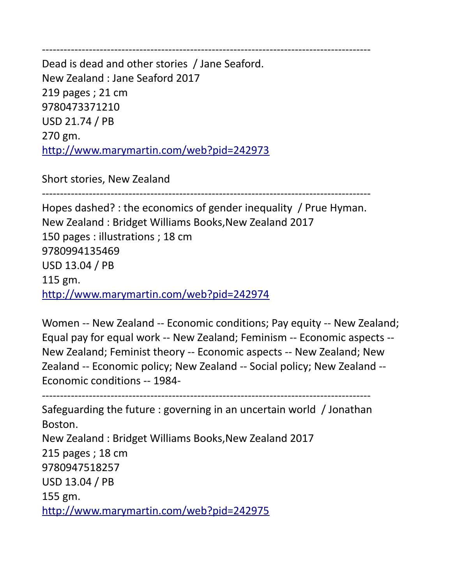------------------------------------------------------------------------------------------- Dead is dead and other stories / Jane Seaford. New Zealand : Jane Seaford 2017 219 pages ; 21 cm 9780473371210 USD 21.74 / PB 270 gm. <http://www.marymartin.com/web?pid=242973>

Short stories, New Zealand

-------------------------------------------------------------------------------------------

Hopes dashed? : the economics of gender inequality / Prue Hyman. New Zealand : Bridget Williams Books,New Zealand 2017 150 pages : illustrations ; 18 cm 9780994135469 USD 13.04 / PB 115 gm. <http://www.marymartin.com/web?pid=242974>

Women -- New Zealand -- Economic conditions; Pay equity -- New Zealand; Equal pay for equal work -- New Zealand; Feminism -- Economic aspects -- New Zealand; Feminist theory -- Economic aspects -- New Zealand; New Zealand -- Economic policy; New Zealand -- Social policy; New Zealand -- Economic conditions -- 1984-

------------------------------------------------------------------------------------------- Safeguarding the future : governing in an uncertain world / Jonathan Boston. New Zealand : Bridget Williams Books,New Zealand 2017 215 pages ; 18 cm 9780947518257 USD 13.04 / PB 155 gm. <http://www.marymartin.com/web?pid=242975>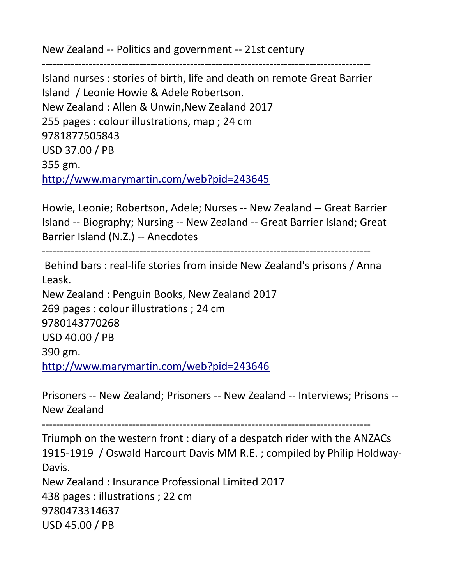New Zealand -- Politics and government -- 21st century

Island nurses : stories of birth, life and death on remote Great Barrier Island / Leonie Howie & Adele Robertson. New Zealand : Allen & Unwin,New Zealand 2017 255 pages : colour illustrations, map ; 24 cm 9781877505843 USD 37.00 / PB 355 gm. <http://www.marymartin.com/web?pid=243645>

-------------------------------------------------------------------------------------------

Howie, Leonie; Robertson, Adele; Nurses -- New Zealand -- Great Barrier Island -- Biography; Nursing -- New Zealand -- Great Barrier Island; Great Barrier Island (N.Z.) -- Anecdotes

-------------------------------------------------------------------------------------------

 Behind bars : real-life stories from inside New Zealand's prisons / Anna Leask. New Zealand : Penguin Books, New Zealand 2017 269 pages : colour illustrations ; 24 cm 9780143770268 USD 40.00 / PB 390 gm. <http://www.marymartin.com/web?pid=243646>

Prisoners -- New Zealand; Prisoners -- New Zealand -- Interviews; Prisons -- New Zealand

-------------------------------------------------------------------------------------------

Triumph on the western front : diary of a despatch rider with the ANZACs 1915-1919 / Oswald Harcourt Davis MM R.E. ; compiled by Philip Holdway-Davis. New Zealand : Insurance Professional Limited 2017 438 pages : illustrations ; 22 cm

9780473314637 USD 45.00 / PB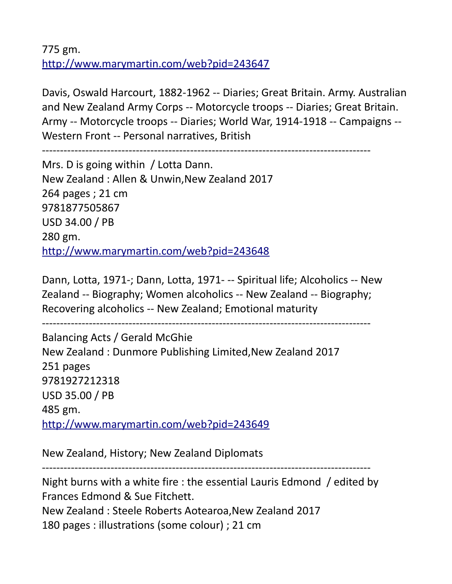775 gm. <http://www.marymartin.com/web?pid=243647>

Davis, Oswald Harcourt, 1882-1962 -- Diaries; Great Britain. Army. Australian and New Zealand Army Corps -- Motorcycle troops -- Diaries; Great Britain. Army -- Motorcycle troops -- Diaries; World War, 1914-1918 -- Campaigns -- Western Front -- Personal narratives, British

-------------------------------------------------------------------------------------------

Mrs. D is going within / Lotta Dann. New Zealand : Allen & Unwin,New Zealand 2017 264 pages ; 21 cm 9781877505867 USD 34.00 / PB 280 gm. <http://www.marymartin.com/web?pid=243648>

Dann, Lotta, 1971-; Dann, Lotta, 1971- -- Spiritual life; Alcoholics -- New Zealand -- Biography; Women alcoholics -- New Zealand -- Biography; Recovering alcoholics -- New Zealand; Emotional maturity

-------------------------------------------------------------------------------------------

Balancing Acts / Gerald McGhie New Zealand : Dunmore Publishing Limited,New Zealand 2017 251 pages 9781927212318 USD 35.00 / PB 485 gm. <http://www.marymartin.com/web?pid=243649>

New Zealand, History; New Zealand Diplomats

-------------------------------------------------------------------------------------------

Night burns with a white fire : the essential Lauris Edmond / edited by Frances Edmond & Sue Fitchett. New Zealand : Steele Roberts Aotearoa,New Zealand 2017 180 pages : illustrations (some colour) ; 21 cm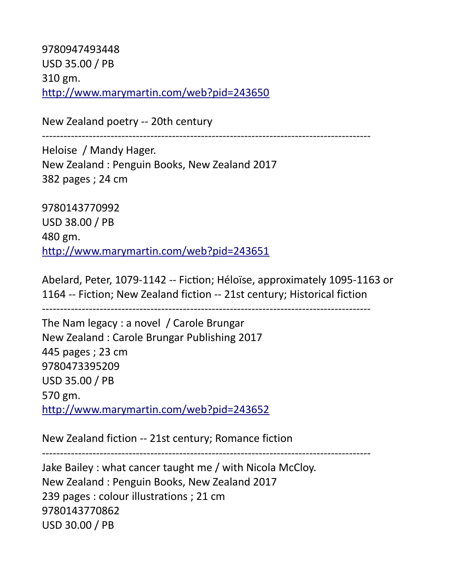9780947493448 USD 35.00 / PB 310 gm. <http://www.marymartin.com/web?pid=243650>

New Zealand poetry -- 20th century

-------------------------------------------------------------------------------------------

Heloise / Mandy Hager. New Zealand : Penguin Books, New Zealand 2017 382 pages ; 24 cm

9780143770992 USD 38.00 / PB 480 gm. <http://www.marymartin.com/web?pid=243651>

Abelard, Peter, 1079-1142 -- Fiction; Héloise, approximately 1095-1163 or 1164 -- Fiction; New Zealand fiction -- 21st century; Historical fiction

-------------------------------------------------------------------------------------------

The Nam legacy : a novel / Carole Brungar New Zealand : Carole Brungar Publishing 2017 445 pages ; 23 cm 9780473395209 USD 35.00 / PB 570 gm. <http://www.marymartin.com/web?pid=243652>

New Zealand fiction -- 21st century; Romance fiction

-------------------------------------------------------------------------------------------

Jake Bailey : what cancer taught me / with Nicola McCloy. New Zealand : Penguin Books, New Zealand 2017 239 pages : colour illustrations ; 21 cm 9780143770862 USD 30.00 / PB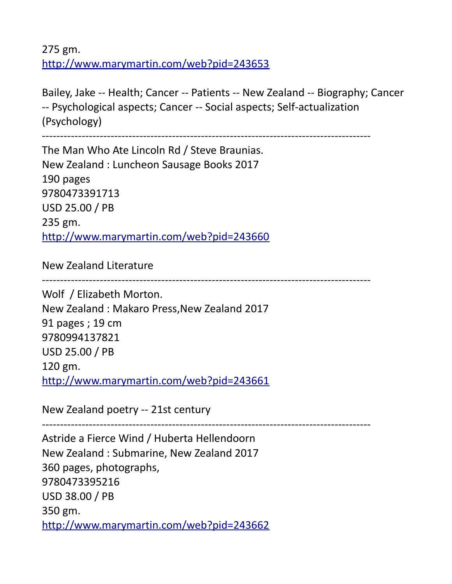275 gm. <http://www.marymartin.com/web?pid=243653>

Bailey, Jake -- Health; Cancer -- Patients -- New Zealand -- Biography; Cancer -- Psychological aspects; Cancer -- Social aspects; Self-actualization (Psychology)

-------------------------------------------------------------------------------------------

The Man Who Ate Lincoln Rd / Steve Braunias. New Zealand : Luncheon Sausage Books 2017 190 pages 9780473391713 USD 25.00 / PB 235 gm. <http://www.marymartin.com/web?pid=243660>

New Zealand Literature

-------------------------------------------------------------------------------------------

Wolf / Elizabeth Morton. New Zealand : Makaro Press,New Zealand 2017 91 pages ; 19 cm 9780994137821 USD 25.00 / PB 120 gm. <http://www.marymartin.com/web?pid=243661>

New Zealand poetry -- 21st century

-------------------------------------------------------------------------------------------

Astride a Fierce Wind / Huberta Hellendoorn New Zealand : Submarine, New Zealand 2017 360 pages, photographs, 9780473395216 USD 38.00 / PB 350 gm. <http://www.marymartin.com/web?pid=243662>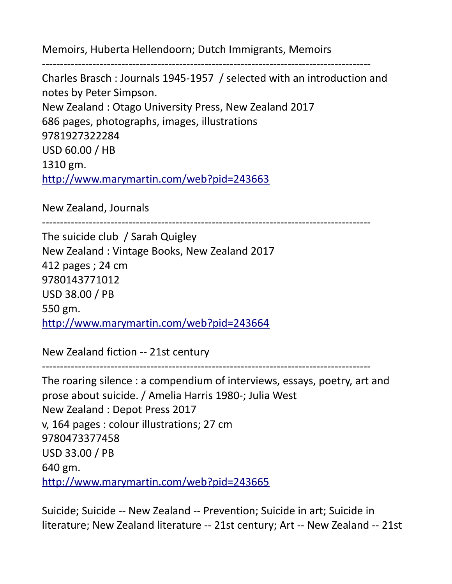Memoirs, Huberta Hellendoorn; Dutch Immigrants, Memoirs

-------------------------------------------------------------------------------------------

Charles Brasch : Journals 1945-1957 / selected with an introduction and notes by Peter Simpson. New Zealand : Otago University Press, New Zealand 2017 686 pages, photographs, images, illustrations 9781927322284 USD 60.00 / HB 1310 gm. <http://www.marymartin.com/web?pid=243663>

New Zealand, Journals

-------------------------------------------------------------------------------------------

The suicide club / Sarah Quigley New Zealand : Vintage Books, New Zealand 2017 412 pages ; 24 cm 9780143771012 USD 38.00 / PB 550 gm. <http://www.marymartin.com/web?pid=243664>

New Zealand fiction -- 21st century

-------------------------------------------------------------------------------------------

The roaring silence : a compendium of interviews, essays, poetry, art and prose about suicide. / Amelia Harris 1980-; Julia West New Zealand : Depot Press 2017 v, 164 pages : colour illustrations; 27 cm 9780473377458 USD 33.00 / PB 640 gm. <http://www.marymartin.com/web?pid=243665>

Suicide; Suicide -- New Zealand -- Prevention; Suicide in art; Suicide in literature; New Zealand literature -- 21st century; Art -- New Zealand -- 21st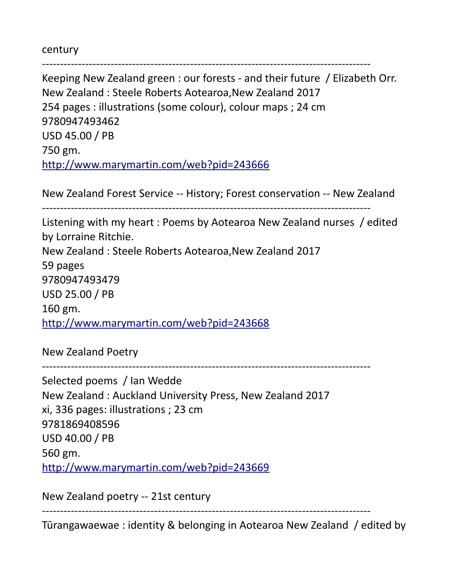century

------------------------------------------------------------------------------------------- Keeping New Zealand green : our forests - and their future / Elizabeth Orr. New Zealand : Steele Roberts Aotearoa,New Zealand 2017 254 pages : illustrations (some colour), colour maps ; 24 cm 9780947493462 USD 45.00 / PB 750 gm. <http://www.marymartin.com/web?pid=243666>

New Zealand Forest Service -- History; Forest conservation -- New Zealand

-------------------------------------------------------------------------------------------

Listening with my heart : Poems by Aotearoa New Zealand nurses / edited by Lorraine Ritchie. New Zealand : Steele Roberts Aotearoa,New Zealand 2017 59 pages 9780947493479 USD 25.00 / PB 160 gm. <http://www.marymartin.com/web?pid=243668>

New Zealand Poetry

-------------------------------------------------------------------------------------------

Selected poems / Ian Wedde New Zealand : Auckland University Press, New Zealand 2017 xi, 336 pages: illustrations ; 23 cm 9781869408596 USD 40.00 / PB 560 gm. <http://www.marymartin.com/web?pid=243669>

New Zealand poetry -- 21st century

------------------------------------------------------------------------------------------- Tūrangawaewae : identity & belonging in Aotearoa New Zealand / edited by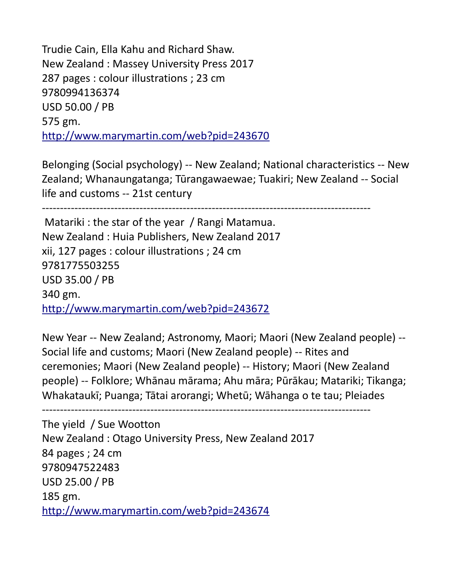Trudie Cain, Ella Kahu and Richard Shaw. New Zealand : Massey University Press 2017 287 pages : colour illustrations ; 23 cm 9780994136374 USD 50.00 / PB 575 gm. <http://www.marymartin.com/web?pid=243670>

Belonging (Social psychology) -- New Zealand; National characteristics -- New Zealand; Whanaungatanga; Tūrangawaewae; Tuakiri; New Zealand -- Social life and customs -- 21st century

-------------------------------------------------------------------------------------------

 Matariki : the star of the year / Rangi Matamua. New Zealand : Huia Publishers, New Zealand 2017 xii, 127 pages : colour illustrations ; 24 cm 9781775503255 USD 35.00 / PB 340 gm. <http://www.marymartin.com/web?pid=243672>

New Year -- New Zealand; Astronomy, Maori; Maori (New Zealand people) -- Social life and customs; Maori (New Zealand people) -- Rites and ceremonies; Maori (New Zealand people) -- History; Maori (New Zealand people) -- Folklore; Whānau mārama; Ahu māra; Pūrākau; Matariki; Tikanga; Whakataukī; Puanga; Tātai arorangi; Whetū; Wāhanga o te tau; Pleiades

-------------------------------------------------------------------------------------------

The yield / Sue Wootton New Zealand : Otago University Press, New Zealand 2017 84 pages ; 24 cm 9780947522483 USD 25.00 / PB 185 gm. <http://www.marymartin.com/web?pid=243674>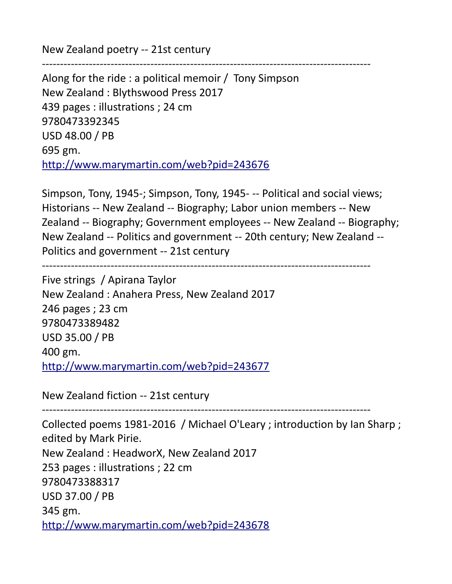New Zealand poetry -- 21st century

------------------------------------------------------------------------------------------- Along for the ride : a political memoir / Tony Simpson New Zealand : Blythswood Press 2017 439 pages : illustrations ; 24 cm 9780473392345 USD 48.00 / PB 695 gm. <http://www.marymartin.com/web?pid=243676>

Simpson, Tony, 1945-; Simpson, Tony, 1945- -- Political and social views; Historians -- New Zealand -- Biography; Labor union members -- New Zealand -- Biography; Government employees -- New Zealand -- Biography; New Zealand -- Politics and government -- 20th century; New Zealand -- Politics and government -- 21st century

-------------------------------------------------------------------------------------------

Five strings / Apirana Taylor New Zealand : Anahera Press, New Zealand 2017 246 pages ; 23 cm 9780473389482 USD 35.00 / PB 400 gm. <http://www.marymartin.com/web?pid=243677>

New Zealand fiction -- 21st century

-------------------------------------------------------------------------------------------

Collected poems 1981-2016 / Michael O'Leary ; introduction by Ian Sharp ; edited by Mark Pirie. New Zealand : HeadworX, New Zealand 2017 253 pages : illustrations ; 22 cm 9780473388317 USD 37.00 / PB 345 gm. <http://www.marymartin.com/web?pid=243678>